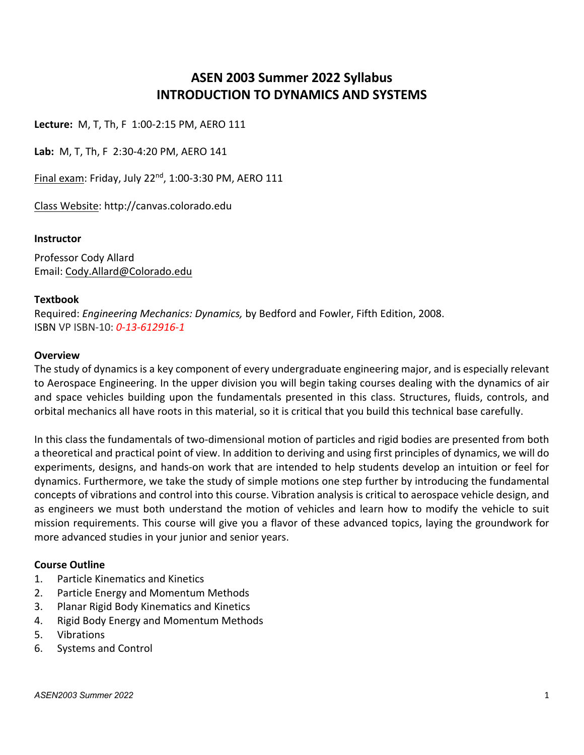# **ASEN 2003 Summer 2022 Syllabus INTRODUCTION TO DYNAMICS AND SYSTEMS**

**Lecture:** M, T, Th, F 1:00-2:15 PM, AERO 111

**Lab:** M, T, Th, F 2:30-4:20 PM, AERO 141

Final exam: Friday, July 22nd, 1:00-3:30 PM, AERO 111

Class Website: http://canvas.colorado.edu

#### **Instructor**

Professor Cody Allard Email: Cody.Allard@Colorado.edu

#### **Textbook**

Required: *Engineering Mechanics: Dynamics,* by Bedford and Fowler, Fifth Edition, 2008. ISBN VP ISBN-10: *0-13-612916-1*

#### **Overview**

The study of dynamics is a key component of every undergraduate engineering major, and is especially relevant to Aerospace Engineering. In the upper division you will begin taking courses dealing with the dynamics of air and space vehicles building upon the fundamentals presented in this class. Structures, fluids, controls, and orbital mechanics all have roots in this material, so it is critical that you build this technical base carefully.

In this class the fundamentals of two-dimensional motion of particles and rigid bodies are presented from both a theoretical and practical point of view. In addition to deriving and using first principles of dynamics, we will do experiments, designs, and hands-on work that are intended to help students develop an intuition or feel for dynamics. Furthermore, we take the study of simple motions one step further by introducing the fundamental concepts of vibrations and control into this course. Vibration analysis is critical to aerospace vehicle design, and as engineers we must both understand the motion of vehicles and learn how to modify the vehicle to suit mission requirements. This course will give you a flavor of these advanced topics, laying the groundwork for more advanced studies in your junior and senior years.

#### **Course Outline**

- 1. Particle Kinematics and Kinetics
- 2. Particle Energy and Momentum Methods
- 3. Planar Rigid Body Kinematics and Kinetics
- 4. Rigid Body Energy and Momentum Methods
- 5. Vibrations
- 6. Systems and Control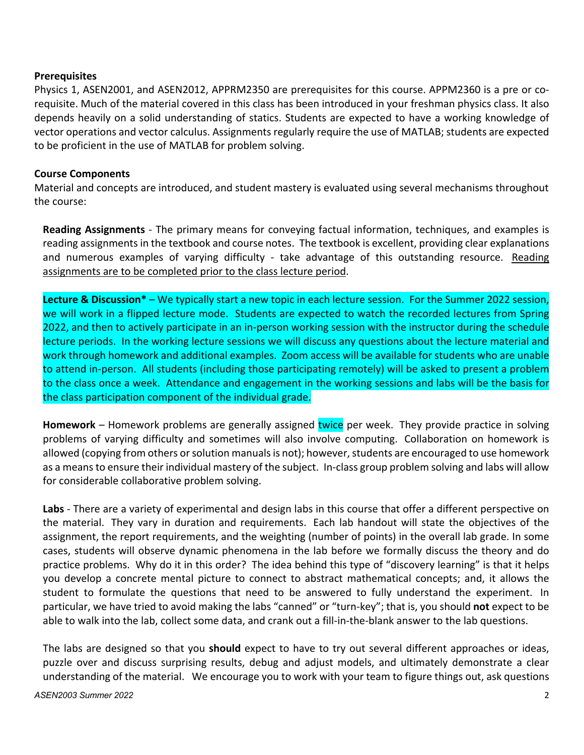#### **Prerequisites**

Physics 1, ASEN2001, and ASEN2012, APPRM2350 are prerequisites for this course. APPM2360 is a pre or corequisite. Much of the material covered in this class has been introduced in your freshman physics class. It also depends heavily on a solid understanding of statics. Students are expected to have a working knowledge of vector operations and vector calculus. Assignments regularly require the use of MATLAB; students are expected to be proficient in the use of MATLAB for problem solving.

### **Course Components**

Material and concepts are introduced, and student mastery is evaluated using several mechanisms throughout the course:

**Reading Assignments** - The primary means for conveying factual information, techniques, and examples is reading assignments in the textbook and course notes. The textbook is excellent, providing clear explanations and numerous examples of varying difficulty - take advantage of this outstanding resource. Reading assignments are to be completed prior to the class lecture period.

**Lecture & Discussion\*** – We typically start a new topic in each lecture session. For the Summer 2022 session, we will work in a flipped lecture mode. Students are expected to watch the recorded lectures from Spring 2022, and then to actively participate in an in-person working session with the instructor during the schedule lecture periods. In the working lecture sessions we will discuss any questions about the lecture material and work through homework and additional examples. Zoom access will be available for students who are unable to attend in-person. All students (including those participating remotely) will be asked to present a problem to the class once a week. Attendance and engagement in the working sessions and labs will be the basis for the class participation component of the individual grade.

**Homework** – Homework problems are generally assigned twice per week. They provide practice in solving problems of varying difficulty and sometimes will also involve computing. Collaboration on homework is allowed (copying from others or solution manuals is not); however, students are encouraged to use homework as a means to ensure their individual mastery of the subject. In-class group problem solving and labs will allow for considerable collaborative problem solving.

**Labs** - There are a variety of experimental and design labs in this course that offer a different perspective on the material. They vary in duration and requirements. Each lab handout will state the objectives of the assignment, the report requirements, and the weighting (number of points) in the overall lab grade. In some cases, students will observe dynamic phenomena in the lab before we formally discuss the theory and do practice problems. Why do it in this order? The idea behind this type of "discovery learning" is that it helps you develop a concrete mental picture to connect to abstract mathematical concepts; and, it allows the student to formulate the questions that need to be answered to fully understand the experiment. In particular, we have tried to avoid making the labs "canned" or "turn-key"; that is, you should **not** expect to be able to walk into the lab, collect some data, and crank out a fill-in-the-blank answer to the lab questions.

The labs are designed so that you **should** expect to have to try out several different approaches or ideas, puzzle over and discuss surprising results, debug and adjust models, and ultimately demonstrate a clear understanding of the material. We encourage you to work with your team to figure things out, ask questions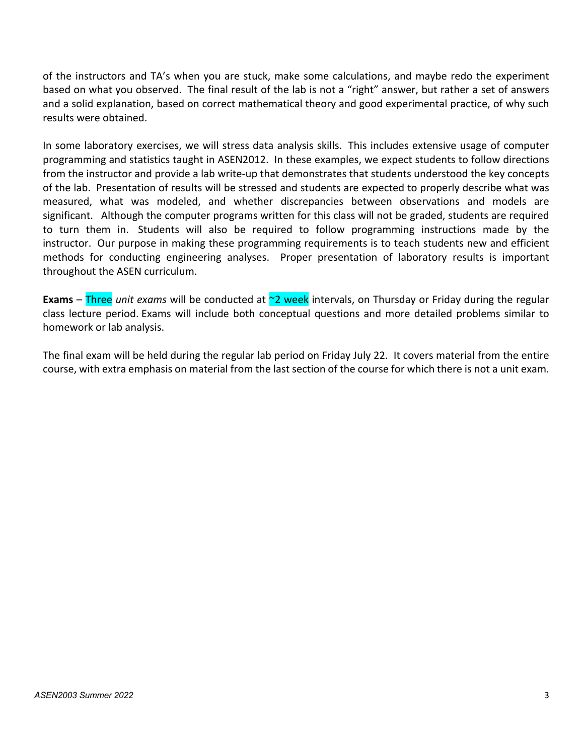of the instructors and TA's when you are stuck, make some calculations, and maybe redo the experiment based on what you observed. The final result of the lab is not a "right" answer, but rather a set of answers and a solid explanation, based on correct mathematical theory and good experimental practice, of why such results were obtained.

In some laboratory exercises, we will stress data analysis skills. This includes extensive usage of computer programming and statistics taught in ASEN2012. In these examples, we expect students to follow directions from the instructor and provide a lab write-up that demonstrates that students understood the key concepts of the lab. Presentation of results will be stressed and students are expected to properly describe what was measured, what was modeled, and whether discrepancies between observations and models are significant. Although the computer programs written for this class will not be graded, students are required to turn them in. Students will also be required to follow programming instructions made by the instructor. Our purpose in making these programming requirements is to teach students new and efficient methods for conducting engineering analyses. Proper presentation of laboratory results is important throughout the ASEN curriculum.

**Exams** – Three *unit exams* will be conducted at  $\infty$  week intervals, on Thursday or Friday during the regular class lecture period. Exams will include both conceptual questions and more detailed problems similar to homework or lab analysis.

The final exam will be held during the regular lab period on Friday July 22. It covers material from the entire course, with extra emphasis on material from the last section of the course for which there is not a unit exam.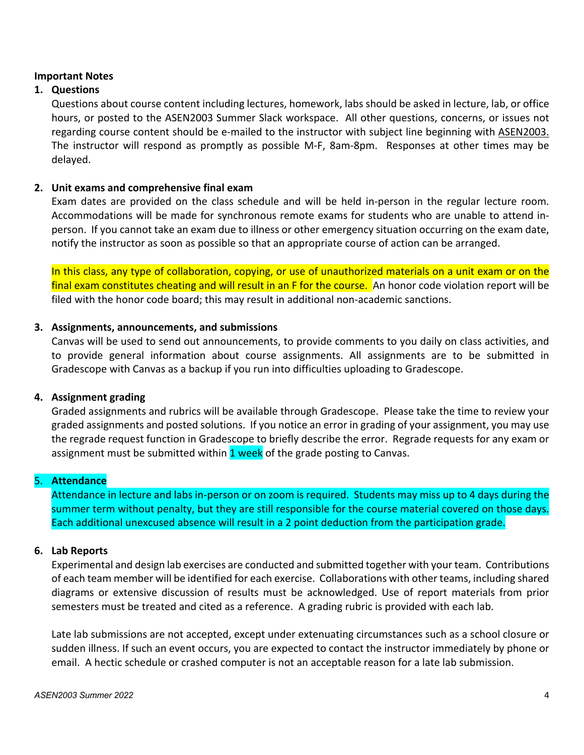#### **Important Notes**

### **1. Questions**

Questions about course content including lectures, homework, labs should be asked in lecture, lab, or office hours, or posted to the ASEN2003 Summer Slack workspace. All other questions, concerns, or issues not regarding course content should be e-mailed to the instructor with subject line beginning with ASEN2003. The instructor will respond as promptly as possible M-F, 8am-8pm. Responses at other times may be delayed.

#### **2. Unit exams and comprehensive final exam**

Exam dates are provided on the class schedule and will be held in-person in the regular lecture room. Accommodations will be made for synchronous remote exams for students who are unable to attend inperson. If you cannot take an exam due to illness or other emergency situation occurring on the exam date, notify the instructor as soon as possible so that an appropriate course of action can be arranged.

In this class, any type of collaboration, copying, or use of unauthorized materials on a unit exam or on the final exam constitutes cheating and will result in an F for the course. An honor code violation report will be filed with the honor code board; this may result in additional non-academic sanctions.

#### **3. Assignments, announcements, and submissions**

Canvas will be used to send out announcements, to provide comments to you daily on class activities, and to provide general information about course assignments. All assignments are to be submitted in Gradescope with Canvas as a backup if you run into difficulties uploading to Gradescope.

#### **4. Assignment grading**

Graded assignments and rubrics will be available through Gradescope. Please take the time to review your graded assignments and posted solutions. If you notice an error in grading of your assignment, you may use the regrade request function in Gradescope to briefly describe the error. Regrade requests for any exam or assignment must be submitted within 1 week of the grade posting to Canvas.

### 5. **Attendance**

Attendance in lecture and labs in-person or on zoom is required. Students may miss up to 4 days during the summer term without penalty, but they are still responsible for the course material covered on those days. Each additional unexcused absence will result in a 2 point deduction from the participation grade.

#### **6. Lab Reports**

Experimental and design lab exercises are conducted and submitted together with your team. Contributions of each team member will be identified for each exercise. Collaborations with other teams, including shared diagrams or extensive discussion of results must be acknowledged. Use of report materials from prior semesters must be treated and cited as a reference. A grading rubric is provided with each lab.

Late lab submissions are not accepted, except under extenuating circumstances such as a school closure or sudden illness. If such an event occurs, you are expected to contact the instructor immediately by phone or email. A hectic schedule or crashed computer is not an acceptable reason for a late lab submission.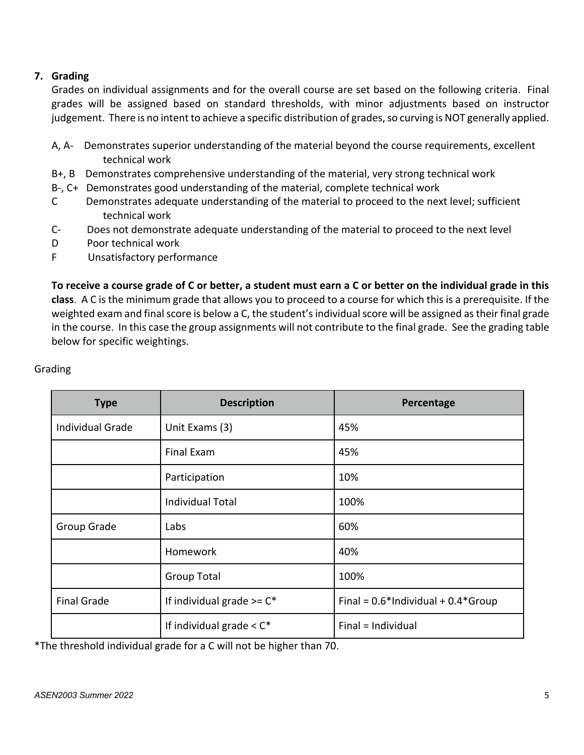### **7. Grading**

Grades on individual assignments and for the overall course are set based on the following criteria. Final grades will be assigned based on standard thresholds, with minor adjustments based on instructor judgement. There is no intent to achieve a specific distribution of grades, so curving is NOT generally applied.

- A, A- Demonstrates superior understanding of the material beyond the course requirements, excellent technical work
- B+, B Demonstrates comprehensive understanding of the material, very strong technical work
- B-, C+ Demonstrates good understanding of the material, complete technical work
- C Demonstrates adequate understanding of the material to proceed to the next level; sufficient technical work
- C- Does not demonstrate adequate understanding of the material to proceed to the next level
- D Poor technical work
- F Unsatisfactory performance

**To receive a course grade of C or better, a student must earn a C or better on the individual grade in this class**. A C is the minimum grade that allows you to proceed to a course for which this is a prerequisite. If the weighted exam and final score is below a C, the student's individual score will be assigned as their final grade in the course. In this case the group assignments will not contribute to the final grade. See the grading table below for specific weightings.

| <b>Type</b>        | <b>Description</b>            | Percentage                               |
|--------------------|-------------------------------|------------------------------------------|
| Individual Grade   | Unit Exams (3)                | 45%                                      |
|                    | <b>Final Exam</b>             | 45%                                      |
|                    | Participation                 | 10%                                      |
|                    | <b>Individual Total</b>       | 100%                                     |
| Group Grade        | Labs                          | 60%                                      |
|                    | Homework                      | 40%                                      |
|                    | <b>Group Total</b>            | 100%                                     |
| <b>Final Grade</b> | If individual grade $>= C^*$  | Final = $0.6*$ Individual + $0.4*$ Group |
|                    | If individual grade $<$ $C^*$ | Final = Individual                       |

### Grading

\*The threshold individual grade for a C will not be higher than 70.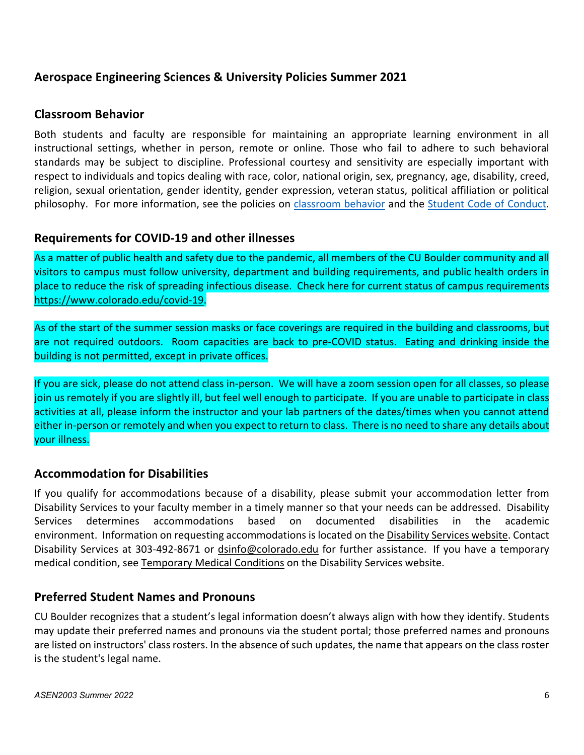## **Aerospace Engineering Sciences & University Policies Summer 2021**

### **Classroom Behavior**

Both students and faculty are responsible for maintaining an appropriate learning environment in all instructional settings, whether in person, remote or online. Those who fail to adhere to such behavioral standards may be subject to discipline. Professional courtesy and sensitivity are especially important with respect to individuals and topics dealing with race, color, national origin, sex, pregnancy, age, disability, creed, religion, sexual orientation, gender identity, gender expression, veteran status, political affiliation or political philosophy. For more information, see the policies on classroom behavior and the Student Code of Conduct.

### **Requirements for COVID-19 and other illnesses**

As a matter of public health and safety due to the pandemic, all members of the CU Boulder community and all visitors to campus must follow university, department and building requirements, and public health orders in place to reduce the risk of spreading infectious disease. Check here for current status of campus requirements https://www.colorado.edu/covid-19.

As of the start of the summer session masks or face coverings are required in the building and classrooms, but are not required outdoors. Room capacities are back to pre-COVID status. Eating and drinking inside the building is not permitted, except in private offices.

If you are sick, please do not attend class in-person. We will have a zoom session open for all classes, so please join us remotely if you are slightly ill, but feel well enough to participate. If you are unable to participate in class activities at all, please inform the instructor and your lab partners of the dates/times when you cannot attend either in-person or remotely and when you expect to return to class. There is no need to share any details about your illness.

## **Accommodation for Disabilities**

If you qualify for accommodations because of a disability, please submit your accommodation letter from Disability Services to your faculty member in a timely manner so that your needs can be addressed. Disability Services determines accommodations based on documented disabilities in the academic environment. Information on requesting accommodations is located on the Disability Services website. Contact Disability Services at 303-492-8671 or dsinfo@colorado.edu for further assistance. If you have a temporary medical condition, see Temporary Medical Conditions on the Disability Services website.

## **Preferred Student Names and Pronouns**

CU Boulder recognizes that a student's legal information doesn't always align with how they identify. Students may update their preferred names and pronouns via the student portal; those preferred names and pronouns are listed on instructors' class rosters. In the absence of such updates, the name that appears on the class roster is the student's legal name.